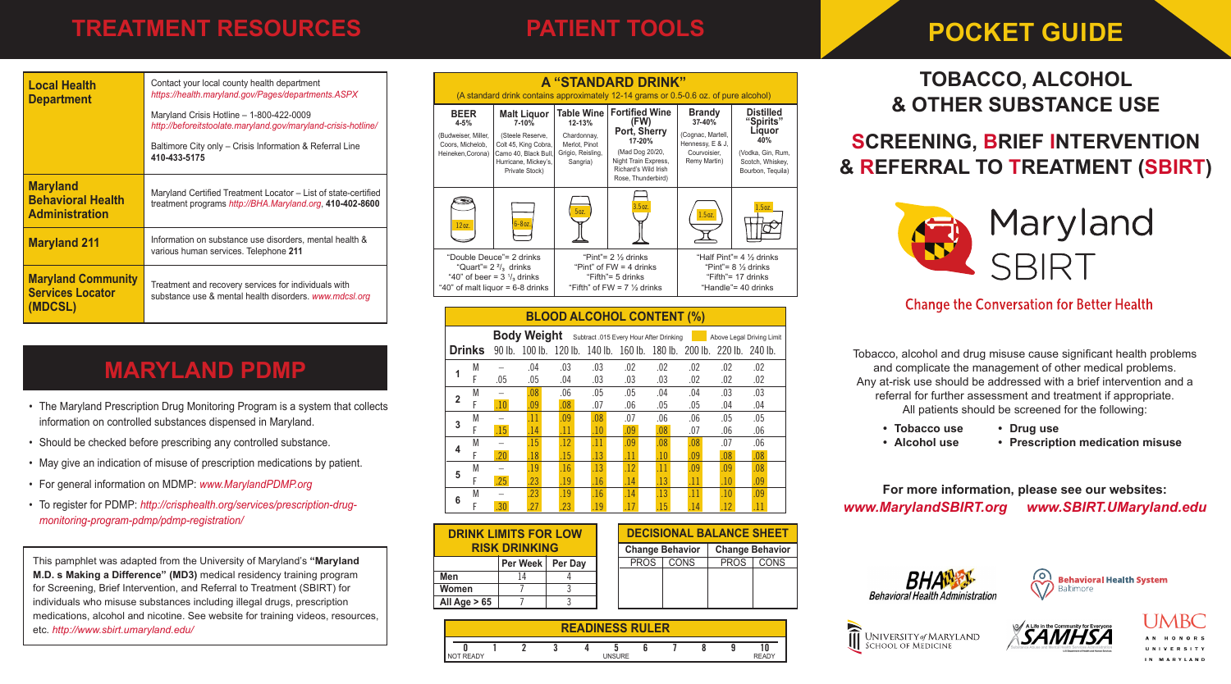# **TREATMENT RESOURCES**

# **PATIENT TOOLS**

# **POCKET GUIDE**

| <b>Local Health</b><br><b>Department</b>                             | Contact your local county health department<br>https://health.maryland.gov/Pages/departments.ASPX<br>Maryland Crisis Hotline - 1-800-422-0009<br>http://beforeitstoolate.maryland.gov/maryland-crisis-hotline/<br>Baltimore City only - Crisis Information & Referral Line<br>410-433-5175 |
|----------------------------------------------------------------------|--------------------------------------------------------------------------------------------------------------------------------------------------------------------------------------------------------------------------------------------------------------------------------------------|
| <b>Maryland</b><br><b>Behavioral Health</b><br><b>Administration</b> | Maryland Certified Treatment Locator - List of state-certified<br>treatment programs http://BHA.Maryland.org, 410-402-8600                                                                                                                                                                 |
| <b>Maryland 211</b>                                                  | Information on substance use disorders, mental health &<br>various human services. Telephone 211                                                                                                                                                                                           |
| <b>Maryland Community</b><br><b>Services Locator</b><br>(MDCSL)      | Treatment and recovery services for individuals with<br>substance use & mental health disorders. www.mdcsl.org                                                                                                                                                                             |

# **MARYLAND PDMP**

- The Maryland Prescription Drug Monitoring Program is a system that collects information on controlled substances dispensed in Maryland.
- Should be checked before prescribing any controlled substance.
- May give an indication of misuse of prescription medications by patient.
- For general information on MDMP: *www.MarylandPDMP.org*
- To register for PDMP: *http://crisphealth.org/services/prescription-drugmonitoring-program-pdmp/pdmp-registration/*

This pamphlet was adapted from the University of Maryland's **"Maryland M.D. s Making a Difference" (MD3)** medical residency training program for Screening, Brief Intervention, and Referral to Treatment (SBIRT) for individuals who misuse substances including illegal drugs, prescription medications, alcohol and nicotine. See website for training videos, resources, etc. *http://www.sbirt.umaryland.edu/*

|                                                                                                                                           |                                                                                                                                               |                                                                                                                 | A "STANDARD DRINK"<br>(A standard drink contains approximately 12-14 grams or 0.5-0.6 oz. of pure alcohol)                                       |                                                                                                  |                                                                                                                       |
|-------------------------------------------------------------------------------------------------------------------------------------------|-----------------------------------------------------------------------------------------------------------------------------------------------|-----------------------------------------------------------------------------------------------------------------|--------------------------------------------------------------------------------------------------------------------------------------------------|--------------------------------------------------------------------------------------------------|-----------------------------------------------------------------------------------------------------------------------|
| <b>BEER</b><br>$4 - 5%$<br>(Budweiser, Miller,<br>Coors, Michelob,<br>Heineken, Corona)                                                   | <b>Malt Liguor</b><br>$7 - 10%$<br>(Steele Reserve,<br>Colt 45, King Cobra,<br>Camo 40, Black Bull,<br>Hurricane, Mickey's,<br>Private Stock) | <b>Table Wine</b><br>12-13%<br>Chardonnay,<br>Merlot, Pinot<br>Grigio, Reisling,<br>Sangria)                    | <b>Fortified Wine</b><br>(FW)<br>Port, Sherry<br>17-20%<br>(Mad Dog 20/20,<br>Night Train Express,<br>Richard's Wild Irish<br>Rose, Thunderbird) | <b>Brandy</b><br>37-40%<br>(Cognac, Martell,<br>Hennessy, E & J,<br>Courvoisier.<br>Remy Martin) | <b>Distilled</b><br>"Spirits"<br>Liquor<br>40%<br>(Vodka, Gin, Rum,<br>Scotch, Whiskey,<br>Bourbon, Tequila)          |
| 12 <sub>0Z</sub>                                                                                                                          | $6 - 8$ oz.                                                                                                                                   | 5 <sub>oz</sub>                                                                                                 | 3.5 <sub>oz</sub>                                                                                                                                | 1.5 <sub>oz</sub>                                                                                | 1.5 <sub>oz.</sub>                                                                                                    |
| "Double Deuce"= 2 drinks<br>"Quart"= $2 \frac{2}{3}$ drinks<br>"40" of beer = $3\frac{1}{3}$ drinks<br>"40" of malt liquor = $6-8$ drinks |                                                                                                                                               | "Pint"= $2\frac{1}{6}$ drinks<br>"Pint" of $FW = 4$ drinks<br>"Fifth"= 5 drinks<br>"Fifth" of $FW = 7\%$ drinks |                                                                                                                                                  |                                                                                                  | "Half Pint"= 4 1/ <sub>2</sub> drinks<br>"Pint"= $8\frac{1}{2}$ drinks<br>"Fifth"= $17$ drinks<br>"Handle"= 40 drinks |

## **BLOOD ALCOHOL CONTENT (%)**

|   |               |     | <b>Body Weight</b> |     |     | Subtract .015 Every Hour After Drinking |     |     |                                                                        | Above Legal Driving Limit |
|---|---------------|-----|--------------------|-----|-----|-----------------------------------------|-----|-----|------------------------------------------------------------------------|---------------------------|
|   | <b>Drinks</b> |     |                    |     |     |                                         |     |     | 90 lb. 100 lb. 120 lb. 140 lb. 160 lb. 180 lb. 200 lb. 220 lb. 240 lb. |                           |
| 1 | M             |     | .04                | .03 | .03 | .02                                     | .02 | .02 | .02                                                                    | .02                       |
|   | F             | .05 | .05                | .04 | .03 | .03                                     | .03 | .02 | .02                                                                    | .02                       |
| 2 | M             |     | .08                | .06 | .05 | .05                                     | .04 | .04 | .03                                                                    | .03                       |
|   | F             | .10 | .09                | .08 | .07 | .06                                     | .05 | .05 | .04                                                                    | .04                       |
| 3 | M             |     | .11                | .09 | .08 | .07                                     | .06 | .06 | .05                                                                    | .05                       |
|   | F             | .15 | .14                | .11 | .10 | .09                                     | .08 | .07 | .06                                                                    | .06                       |
|   | M             |     | .15                | .12 | .11 | .09                                     | .08 | .08 | .07                                                                    | .06                       |
| 4 | F             | .20 | .18                | .15 | .13 | .11                                     | .10 | .09 | .08                                                                    | .08                       |
| 5 | M             |     | .19                | .16 | .13 | .12                                     | .11 | .09 | .09                                                                    | .08                       |
|   | F             | .25 | 23                 | .19 | .16 | <b>14</b>                               | .13 | .11 | .10                                                                    | .09                       |
| 6 | M             |     | .23                | .19 | .16 | .14                                     | .13 | .11 | .10                                                                    | .09                       |
|   | F             | .30 | .27                | .23 | .19 | 17                                      | .15 | .14 | .12                                                                    | .11                       |

 **0 1 2 3 4 5 6 7 8 9 10** NOT READY **DEALLY** UNSURE THE READY

| <b>DRINK LIMITS FOR LOW</b> |                    |  |                        | <b>DECISIONAL BALANCE SHEET</b> |             |             |
|-----------------------------|--------------------|--|------------------------|---------------------------------|-------------|-------------|
| <b>RISK DRINKING</b>        |                    |  | <b>Change Behavior</b> | <b>Change Behavior</b>          |             |             |
|                             | Per Week   Per Day |  | <b>PROS</b>            | <b>CONS</b>                     | <b>PROS</b> | <b>CONS</b> |
| Men                         |                    |  |                        |                                 |             |             |
| Women                       |                    |  |                        |                                 |             |             |
| All Age $> 65$              |                    |  |                        |                                 |             |             |

|  | <b>READINESS RULER</b> |  |  |
|--|------------------------|--|--|
|  |                        |  |  |
|  |                        |  |  |
|  |                        |  |  |

## **TOBACCO, ALCOHOL & OTHER SUBSTANCE USE** l.

**SCREENING, BRIEF INTERVENTION & REFERRAL TO TREATMENT (SBIRT)** 



## **Change the Conversation for Better Health**

Tobacco, alcohol and drug misuse cause significant health problems and complicate the management of other medical problems. Any at-risk use should be addressed with a brief intervention and a referral for further assessment and treatment if appropriate. All patients should be screened for the following: we patiently chould be corporious for the following.  $T_{\text{max}}$  and  $T_{\text{max}}$  and  $T_{\text{max}}$  and  $T_{\text{max}}$  and  $T_{\text{max}}$  and  $T_{\text{max}}$ 

- **• Drug use**  • Tobacco use **brief medical of the medical problems.**  $\bullet$  Drug use
	- **• Alcohol use** treatment in the control of the control of
	- Alcohol use **•** Prescription medication misuse

**For more information, please see our websites:** www.MarylandSBIRT.org www.SBIRT.UMaryland.edu  $\bm{\theta}$  information, please see our websites: